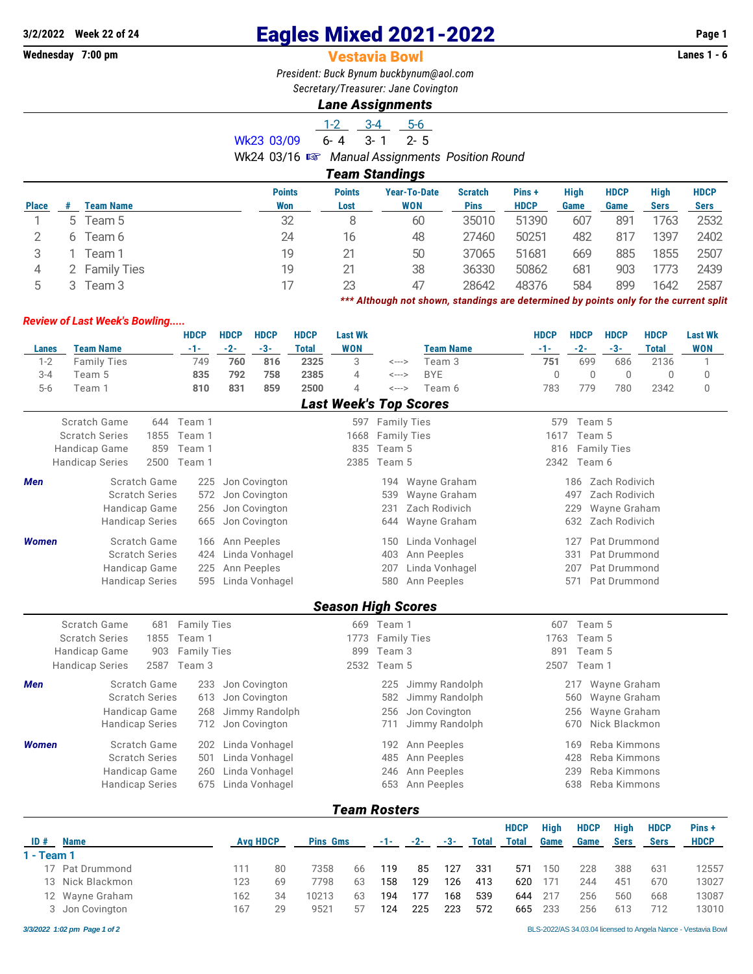## **Wednesday 7:00 pm** Vestavia Bowl **Lanes 1 - 6**

# **3/2/2022 Week 22 of 24** Eagles Mixed 2021-2022 **Page 1**

*President: Buck Bynum [buckbynum@aol.com](mailto:buckbynum@aol.com)*

*Secretary/Treasurer: Jane Covington*

## *Lane Assignments*

5 3 Team 3 17 23 47 28642 48376 584 899 1642 2587

*\*\*\* Although not shown, standings are determined by points only for the current split*

1-2 3-4 5-6 Wk23 03/09 6-4 3-1 2-5 Wk24 03/16 { *Manual Assignments Position Round Team Standings* **Points Points Year-To-Date Scratch Pins + High HDCP High HDCP Place # Team Name Won Lost WON Pins HDCP Game Game Sers Sers** 1 5 Team 5 32 8 60 35010 51390 607 891 1763 2532 2 6 Team 6 24 16 48 27460 50251 482 817 1397 2402 3 1 Team 1 19 21 50 37065 51681 669 885 1855 2507 4 2 Family Ties 19 21 38 36330 50862 681 903 1773 2439

### *Review of Last Week's Bowling.....*

|              |                        |                        |             | <b>HDCP</b>        | <b>HDCP</b> | <b>HDCP</b>    | <b>HDCP</b>  | <b>Last Wk</b>                |                    |                  | <b>HDCP</b> | <b>HDCP</b>  | <b>HDCP</b>        | <b>HDCP</b>  | <b>Last Wk</b> |
|--------------|------------------------|------------------------|-------------|--------------------|-------------|----------------|--------------|-------------------------------|--------------------|------------------|-------------|--------------|--------------------|--------------|----------------|
| <b>Lanes</b> | <b>Team Name</b>       |                        |             | $-1-$              | $-2-$       | $-3-$          | <b>Total</b> | <b>WON</b>                    |                    | <b>Team Name</b> | $-1-$       | $-2-$        | $-3-$              | <b>Total</b> | <b>WON</b>     |
| $1 - 2$      | <b>Family Ties</b>     |                        |             | 749                | 760         | 816            | 2325         | 3                             | <--->              | Team 3           | 751         | 699          | 686                | 2136         | 1              |
| $3 - 4$      | Team 5                 |                        |             | 835                | 792         | 758            | 2385         | 4                             | <--->              | <b>BYE</b>       | $\Omega$    | $\mathbf{0}$ | $\mathbf{0}$       | 0            | $\Omega$       |
| $5-6$        | Team 1                 |                        |             | 810                | 831         | 859            | 2500         | 4                             | <--->              | Team 6           | 783         | 779          | 780                | 2342         | $\mathbf{0}$   |
|              |                        |                        |             |                    |             |                |              | <b>Last Week's Top Scores</b> |                    |                  |             |              |                    |              |                |
|              | Scratch Game           |                        | 644         | Team 1             |             |                |              |                               | 597 Family Ties    |                  | 579         | Team 5       |                    |              |                |
|              | <b>Scratch Series</b>  |                        | 1855        | Team 1             |             |                |              | 1668                          | <b>Family Ties</b> |                  | 1617        | Team 5       |                    |              |                |
|              | Handicap Game          |                        | 859         | Team 1             |             |                |              | 835                           | Team 5             |                  | 816         |              | <b>Family Ties</b> |              |                |
|              | <b>Handicap Series</b> |                        | 2500        | Team 1             |             |                |              | 2385                          | Team 5             |                  | 2342        | Team 6       |                    |              |                |
| <b>Men</b>   |                        | Scratch Game           |             | 225                |             | Jon Covington  |              |                               | 194                | Wayne Graham     |             | 186          | Zach Rodivich      |              |                |
|              |                        | <b>Scratch Series</b>  |             | 572                |             | Jon Covington  |              |                               | 539                | Wayne Graham     |             | 497          | Zach Rodivich      |              |                |
|              |                        | Handicap Game          |             | 256                |             | Jon Covington  |              |                               | 231                | Zach Rodivich    |             | 229          | Wayne Graham       |              |                |
|              |                        | <b>Handicap Series</b> |             | 665                |             | Jon Covington  |              |                               | 644                | Wayne Graham     |             | 632          | Zach Rodivich      |              |                |
| <b>Women</b> |                        | Scratch Game           |             | 166                |             | Ann Peeples    |              |                               | 150                | Linda Vonhagel   |             | 127          | Pat Drummond       |              |                |
|              |                        | <b>Scratch Series</b>  |             | 424                |             | Linda Vonhagel |              |                               | 403                | Ann Peeples      |             | 331          | Pat Drummond       |              |                |
|              |                        | Handicap Game          |             | 225                |             | Ann Peeples    |              |                               | 207                | Linda Vonhagel   |             | 207          | Pat Drummond       |              |                |
|              |                        | <b>Handicap Series</b> |             | 595                |             | Linda Vonhagel |              |                               | 580                | Ann Peeples      |             | 571          | Pat Drummond       |              |                |
|              |                        |                        |             |                    |             |                |              |                               |                    |                  |             |              |                    |              |                |
|              |                        |                        |             |                    |             |                |              | <b>Season High Scores</b>     |                    |                  |             |              |                    |              |                |
|              | Scratch Game           |                        | 681         | <b>Family Ties</b> |             |                |              |                               | 669 Team 1         |                  | 607         | Team 5       |                    |              |                |
|              | <b>Scratch Series</b>  |                        | 1855        | Team 1             |             |                |              | 1773                          | <b>Family Ties</b> |                  | 1763        | Team 5       |                    |              |                |
|              | Handicap Game          |                        | 903<br>2587 | <b>Family Ties</b> |             |                |              | 899                           | Team 3             |                  | 891         | Team 5       |                    |              |                |
|              | <b>Handicap Series</b> |                        |             | Team 3             |             |                |              | 2532                          | Team 5             |                  | 2507        | Team 1       |                    |              |                |
| Men          |                        | Scratch Game           |             | 233                |             | Jon Covington  |              |                               | 225                | Jimmy Randolph   |             | 217          | Wayne Graham       |              |                |
|              |                        | <b>Scratch Series</b>  |             | 613                |             | Jon Covington  |              |                               | 582                | Jimmy Randolph   |             | 560          | Wayne Graham       |              |                |
|              |                        | Handicap Game          |             | 268                |             | Jimmy Randolph |              |                               | 256                | Jon Covington    |             | 256          | Wayne Graham       |              |                |
|              |                        | <b>Handicap Series</b> |             | 712                |             | Jon Covington  |              |                               | 711                | Jimmy Randolph   |             | 670          | Nick Blackmon      |              |                |
| <b>Women</b> |                        | Scratch Game           |             | 202                |             | Linda Vonhagel |              |                               | 192                | Ann Peeples      |             | 169          | Reba Kimmons       |              |                |
|              |                        | <b>Scratch Series</b>  |             | 501                |             | Linda Vonhagel |              |                               | 485                | Ann Peeples      |             | 428          | Reba Kimmons       |              |                |
|              |                        | Handicap Game          |             | 260                |             | Linda Vonhagel |              |                               | 246                | Ann Peeples      |             | 239          | Reba Kimmons       |              |                |
|              |                        | <b>Handicap Series</b> |             | 675                |             | Linda Vonhagel |              |                               | 653                | Ann Peeples      |             | 638          | Reba Kimmons       |              |                |
|              |                        |                        |             |                    |             |                |              |                               |                    |                  |             |              |                    |              |                |

*Team Rosters*

|            |                  |                 |    |                 |    |       |       |       |       | <b>HDCP</b> | High | <b>HDCP</b> | <b>High</b> | <b>HDCP</b> | Pins+       |
|------------|------------------|-----------------|----|-----------------|----|-------|-------|-------|-------|-------------|------|-------------|-------------|-------------|-------------|
| ID#        | <b>Name</b>      | <b>Avg HDCP</b> |    | <b>Pins Gms</b> |    | $-1-$ | $-2-$ | $-3-$ | Total | Total       | Game | Game        | <b>Sers</b> | <b>Sers</b> | <b>HDCP</b> |
| 1 - Team 1 |                  |                 |    |                 |    |       |       |       |       |             |      |             |             |             |             |
|            | 17 Pat Drummond  |                 | 80 | 7358            | 66 | 119   | 85    | 127   | 331   | 571         | 150  | 228         | 388         | 631         | 12557       |
|            | 13 Nick Blackmon | 123             | 69 | 7798            | 63 | 158   | 129   | 126   | 413   | 620         | 171  | 244         | 451         | 670         | 13027       |
|            | 12 Wayne Graham  | 162             | 34 | 10213           | 63 | 194   | 177   | 168   | 539   | 644         | 217  | 256         | 560         | 668         | 13087       |
|            | 3 Jon Covington  | 167             | 29 | 9521            | 57 | 124   | 225   | 223   | 572   | 665         | 233  | 256         | 613         | 712         | 13010       |
|            |                  |                 |    |                 |    |       |       |       |       |             |      |             |             |             |             |